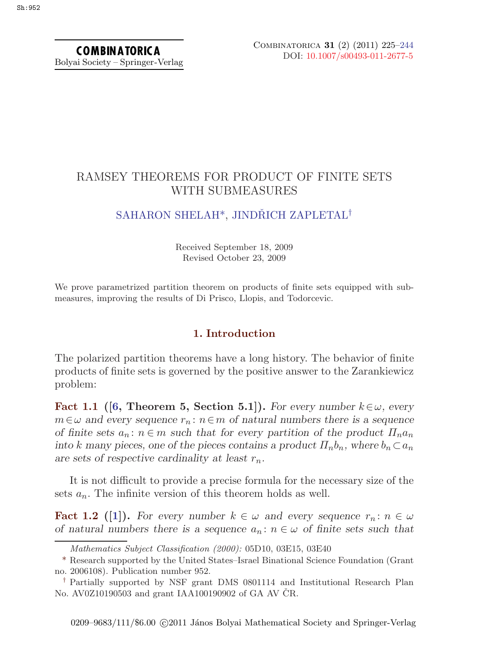COMBINATORICA Bolyai Society – Springer-Verlag

# RAMSEY THEOREMS FOR PRODUCT OF FINITE SETS WITH SUBMEASURES

# [SAHARON SHELAH](#page-19-0)<sup>\*</sup>, JINDŘICH ZAPLETAL<sup>†</sup>

Received September 18, 2009 Revised October 23, 2009

We prove parametrized partition theorem on products of finite sets equipped with submeasures, improving the results of Di Prisco, Llopis, and Todorcevic.

### **1. Introduction**

The polarized partition theorems have a long history. The behavior of finite products of finite sets is governed by the positive answer to the Zarankiewicz problem:

**Fact 1.1** ([\[6](#page-18-0), Theorem 5, Section 5.1]). For every number  $k \in \omega$ , every  $m \in \omega$  and every sequence  $r_n : n \in m$  of natural numbers there is a sequence *of finite sets*  $a_n : n \in m$  *such that for every partition of the product*  $\Pi_n a_n$ *into* k many pieces, one of the pieces contains a product  $\Pi_n b_n$ , where  $b_n \subset a_n$ are sets of respective cardinality at least  $r_n$ .

It is not difficult to provide a precise formula for the necessary size of the sets  $a_n$ . The infinite version of this theorem holds as well.

**Fact 1.2** ([\[1](#page-18-0)]). For every number  $k \in \omega$  and every sequence  $r_n : n \in \omega$ *of natural numbers there is a sequence*  $a_n : n \in \omega$  *of finite sets such that* 

*Mathematics Subject Classification (2000):* 05D10, 03E15, 03E40

<sup>\*</sup> Research supported by the United States–Israel Binational Science Foundation (Grant no. 2006108). Publication number 952.

*<sup>†</sup>* Partially supported by NSF grant DMS 0801114 and Institutional Research Plan No. AV0Z10190503 and grant IAA100190902 of GA AV ČR.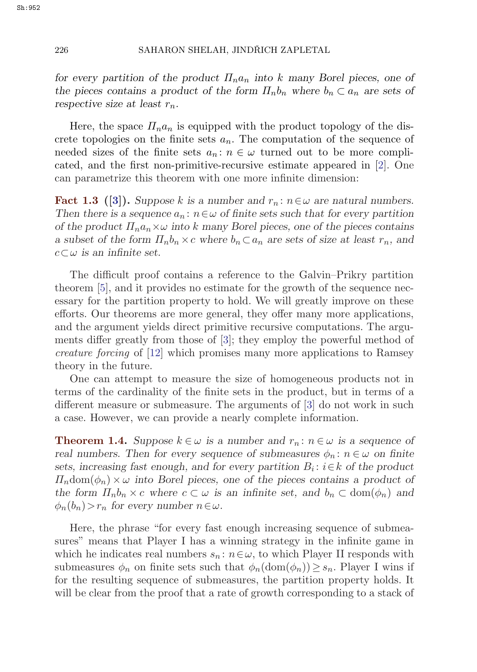### <span id="page-1-0"></span>226 SAHARON SHELAH, JINDŘICH ZAPLETAL

*for every partition of the product*  $\Pi_{n}a_{n}$  *into* k *many* Borel pieces, one of *the pieces contains a product of the form*  $\Pi_n b_n$  where  $b_n \subset a_n$  are sets of *respective size at least*  $r_n$ .

Here, the space  $\Pi_n a_n$  is equipped with the product topology of the discrete topologies on the finite sets  $a_n$ . The computation of the sequence of needed sizes of the finite sets  $a_n : n \in \omega$  turned out to be more complicated, and the first non-primitive-recursive estimate appeared in [[2](#page-18-0)]. One can parametrize this theorem with one more infinite dimension:

**Fact 1.3** ([\[3](#page-18-0)]). Suppose k is a number and  $r_n: n \in \omega$  are natural numbers. *Then there is a sequence*  $a_n$ :  $n \in \omega$  *of finite sets such that for every partition of the product*  $\Pi_n a_n \times \omega$  *into* k many Borel pieces, one of the pieces contains *a* subset of the form  $\Pi_n b_n \times c$  where  $b_n \subset a_n$  are sets of size at least  $r_n$ , and  $c \subset \omega$  *is an infinite set.* 

The difficult proof contains a reference to the Galvin–Prikry partition theorem [[5](#page-18-0)], and it provides no estimate for the growth of the sequence necessary for the partition property to hold. We will greatly improve on these efforts. Our theorems are more general, they offer many more applications, and the argument yields direct primitive recursive computations. The arguments differ greatly from those of [[3](#page-18-0)]; they employ the powerful method of *creature forcing* of [\[12](#page-18-0)] which promises many more applications to Ramsey theory in the future.

One can attempt to measure the size of homogeneous products not in terms of the cardinality of the finite sets in the product, but in terms of a different measure or submeasure. The arguments of [\[3\]](#page-18-0) do not work in such a case. However, we can provide a nearly complete information.

**Theorem 1.4.** *Suppose*  $k \in \omega$  *is a number and*  $r_n : n \in \omega$  *is a sequence of real numbers. Then for every sequence of submeasures*  $\phi_n : n \in \omega$  *on finite sets, increasing fast enough, and for every partition*  $B_i: i \in k$  *of the product*  $\Pi_n$ dom $(\phi_n) \times \omega$  *into Borel pieces, one of the pieces contains a product of the form*  $\Pi_n b_n \times c$  *where*  $c \subset \omega$  *is an infinite set, and*  $b_n \subset \text{dom}(\phi_n)$  *and*  $\phi_n(b_n) > r_n$  for every number  $n \in \omega$ .

Here, the phrase "for every fast enough increasing sequence of submeasures" means that Player I has a winning strategy in the infinite game in which he indicates real numbers  $s_n : n \in \omega$ , to which Player II responds with submeasures  $\phi_n$  on finite sets such that  $\phi_n(\text{dom}(\phi_n)) \geq s_n$ . Player I wins if for the resulting sequence of submeasures, the partition property holds. It will be clear from the proof that a rate of growth corresponding to a stack of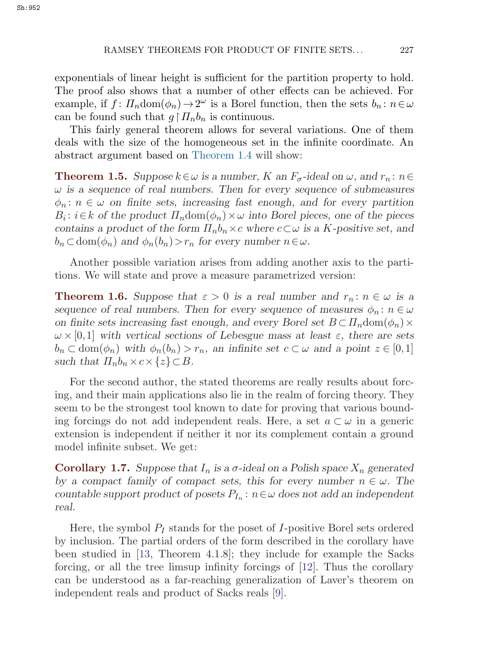<span id="page-2-0"></span>exponentials of linear height is sufficient for the partition property to hold. The proof also shows that a number of other effects can be achieved. For example, if  $f: \Pi_n \text{dom}(\phi_n) \to 2^\omega$  is a Borel function, then the sets  $b_n: n \in \omega$ can be found such that  $g \nmid \prod_n b_n$  is continuous.

This fairly general theorem allows for several variations. One of them deals with the size of the homogeneous set in the infinite coordinate. An abstract argument based on [Theorem 1.4](#page-1-0) will show:

**Theorem 1.5.** *Suppose*  $k \in \omega$  *is a number,* K an  $F_{\sigma}$ -ideal on  $\omega$ , and  $r_n : n \in$ ω *is a sequence of real numbers. Then for every sequence of submeasures*  $\phi_n : n \in \omega$  on finite sets, increasing fast enough, and for every partition  $B_i: i \in k$  of the product  $\Pi_n \text{dom}(\phi_n) \times \omega$  into Borel pieces, one of the pieces *contains a product of the form*  $\Pi_n b_n \times c$  *where*  $c \subset \omega$  *is a K-positive set, and*  $b_n \subset \text{dom}(\phi_n)$  and  $\phi_n(b_n) > r_n$  for every number  $n \in \omega$ .

Another possible variation arises from adding another axis to the partitions. We will state and prove a measure parametrized version:

**Theorem 1.6.** Suppose that  $\varepsilon > 0$  is a real number and  $r_n : n \in \omega$  is a *sequence of real numbers. Then for every sequence of measures*  $\phi_n : n \in \omega$ *on finite sets increasing fast enough, and every Borel set*  $B \subset \prod_n \text{dom}(\phi_n) \times$  $\omega \times [0,1]$  with vertical sections of Lebesgue mass at least  $\varepsilon$ , there are sets  $b_n \subset \text{dom}(\phi_n)$  with  $\phi_n(b_n) > r_n$ , an infinite set  $c \subset \omega$  and a point  $z \in [0,1]$ *such that*  $\Pi_n b_n \times c \times \{z\} \subset B$ *.* 

For the second author, the stated theorems are really results about forcing, and their main applications also lie in the realm of forcing theory. They seem to be the strongest tool known to date for proving that various bounding forcings do not add independent reals. Here, a set  $a \subset \omega$  in a generic extension is independent if neither it nor its complement contain a ground model infinite subset. We get:

**Corollary 1.7.** *Suppose that*  $I_n$  *is a*  $\sigma$ -ideal on a Polish space  $X_n$  generated *by a compact family of compact sets, this for every number*  $n \in \omega$ . The *countable support product of posets*  $P_{I_n}: n \in \omega$  *does not add an independent real.*

Here, the symbol  $P_I$  stands for the poset of I-positive Borel sets ordered by inclusion. The partial orders of the form described in the corollary have been studied in [[13,](#page-18-0) Theorem 4.1.8]; they include for example the Sacks forcing, or all the tree limsup infinity forcings of [\[12](#page-18-0)]. Thus the corollary can be understood as a far-reaching generalization of Laver's theorem on independent reals and product of Sacks reals [[9](#page-18-0)].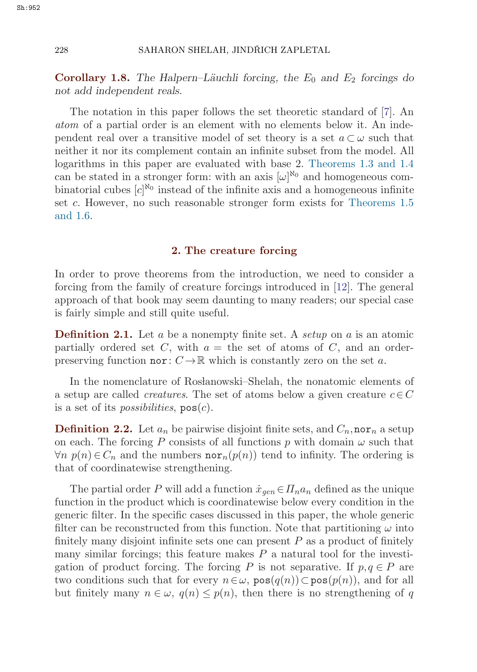**Corollary 1.8.** The Halpern–Läuchli forcing, the  $E_0$  and  $E_2$  forcings do *not add independent reals.*

The notation in this paper follows the set theoretic standard of [\[7\]](#page-18-0). An *atom* of a partial order is an element with no elements below it. An independent real over a transitive model of set theory is a set  $a \subset \omega$  such that neither it nor its complement contain an infinite subset from the model. All logarithms in this paper are evaluated with base 2. [Theorems 1.3 and 1.4](#page-1-0) can be stated in a stronger form: with an axis  $[\omega]^{\aleph_0}$  and homogeneous combinatorial cubes  $[c]^{N_0}$  instead of the infinite axis and a homogeneous infinite set c. However, no such reasonable stronger form exists for [Theorems 1.5](#page-2-0) [and 1.6.](#page-2-0)

#### **2. The creature forcing**

In order to prove theorems from the introduction, we need to consider a forcing from the family of creature forcings introduced in [[12\]](#page-18-0). The general approach of that book may seem daunting to many readers; our special case is fairly simple and still quite useful.

**Definition 2.1.** Let a be a nonempty finite set. A *setup* on a is an atomic partially ordered set C, with  $a =$  the set of atoms of C, and an orderpreserving function nor:  $C \to \mathbb{R}$  which is constantly zero on the set a.

In the nomenclature of Roslanowski–Shelah, the nonatomic elements of a setup are called *creatures*. The set of atoms below a given creature  $c \in C$ is a set of its *possibilities*,  $pos(c)$ .

**Definition 2.2.** Let  $a_n$  be pairwise disjoint finite sets, and  $C_n$ , nor<sub>n</sub> a setup on each. The forcing P consists of all functions p with domain  $\omega$  such that  $\forall n \ p(n) \in C_n$  and the numbers **nor**<sub>n</sub>(p(n)) tend to infinity. The ordering is that of coordinatewise strengthening.

The partial order P will add a function  $\dot{x}_{gen} \in \Pi_n a_n$  defined as the unique function in the product which is coordinatewise below every condition in the generic filter. In the specific cases discussed in this paper, the whole generic filter can be reconstructed from this function. Note that partitioning  $\omega$  into finitely many disjoint infinite sets one can present  $P$  as a product of finitely many similar forcings; this feature makes  $P$  a natural tool for the investigation of product forcing. The forcing P is not separative. If  $p, q \in P$  are two conditions such that for every  $n \in \omega$ ,  $pos(q(n)) \subset pos(p(n))$ , and for all but finitely many  $n \in \omega$ ,  $q(n) \leq p(n)$ , then there is no strengthening of q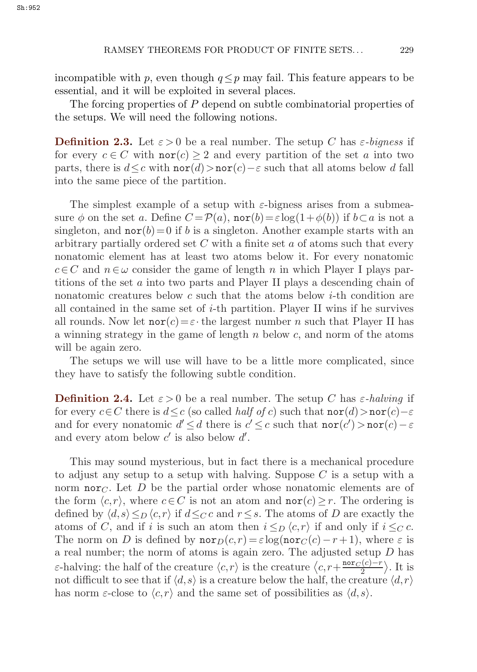incompatible with p, even though  $q \leq p$  may fail. This feature appears to be essential, and it will be exploited in several places.

The forcing properties of P depend on subtle combinatorial properties of the setups. We will need the following notions.

**Definition 2.3.** Let  $\varepsilon > 0$  be a real number. The setup C has  $\varepsilon$ -bigness if for every  $c \in C$  with  $\text{nor}(c) \geq 2$  and every partition of the set a into two parts, there is  $d \leq c$  with  $\text{nor}(d) > \text{nor}(c) - \varepsilon$  such that all atoms below d fall into the same piece of the partition.

The simplest example of a setup with  $\varepsilon$ -bigness arises from a submeasure  $\phi$  on the set a. Define  $C = \mathcal{P}(a)$ , nor(b)= $\varepsilon \log(1+\phi(b))$  if  $b \subset a$  is not a singleton, and  $\text{nor}(b)=0$  if b is a singleton. Another example starts with an arbitrary partially ordered set  $C$  with a finite set  $a$  of atoms such that every nonatomic element has at least two atoms below it. For every nonatomic  $c \in C$  and  $n \in \omega$  consider the game of length n in which Player I plays partitions of the set a into two parts and Player II plays a descending chain of nonatomic creatures below c such that the atoms below  $i$ -th condition are all contained in the same set of  $i$ -th partition. Player II wins if he survives all rounds. Now let  $\text{nor}(c) = \varepsilon \cdot$  the largest number n such that Player II has a winning strategy in the game of length  $n$  below  $c$ , and norm of the atoms will be again zero.

The setups we will use will have to be a little more complicated, since they have to satisfy the following subtle condition.

**Definition 2.4.** Let  $\varepsilon > 0$  be a real number. The setup C has  $\varepsilon$ -halving if for every  $c \in C$  there is  $d \leq c$  (so called *half of* c) such that  $\text{nor}(d) > \text{nor}(c) - \varepsilon$ and for every nonatomic  $d' \leq d$  there is  $c' \leq c$  such that  $\text{nor}(c') > \text{nor}(c) - \varepsilon$ and every atom below  $c'$  is also below  $d'$ .

This may sound mysterious, but in fact there is a mechanical procedure to adjust any setup to a setup with halving. Suppose  $C$  is a setup with a norm nor<sub>C</sub>. Let D be the partial order whose nonatomic elements are of the form  $\langle c,r \rangle$ , where  $c \in C$  is not an atom and  $\text{nor}(c) \geq r$ . The ordering is defined by  $\langle d,s \rangle \leq_D \langle c,r \rangle$  if  $d \leq_C c$  and  $r \leq s$ . The atoms of D are exactly the atoms of C, and if i is such an atom then  $i \leq_D \langle c, r \rangle$  if and only if  $i \leq_C c$ . The norm on D is defined by  $\operatorname{nor}_D(c,r) = \varepsilon \log(\operatorname{nor}_C(c)-r+1)$ , where  $\varepsilon$  is a real number; the norm of atoms is again zero. The adjusted setup D has ε-halving: the half of the creature  $\langle c,r \rangle$  is the creature  $\langle c,r+\frac{nor_C(c)-r}{2}\rangle$ . It is not difficult to see that if  $\langle d, s \rangle$  is a creature below the half, the creature  $\langle d, r \rangle$ has norm  $\varepsilon$ -close to  $\langle c,r \rangle$  and the same set of possibilities as  $\langle d,s \rangle$ .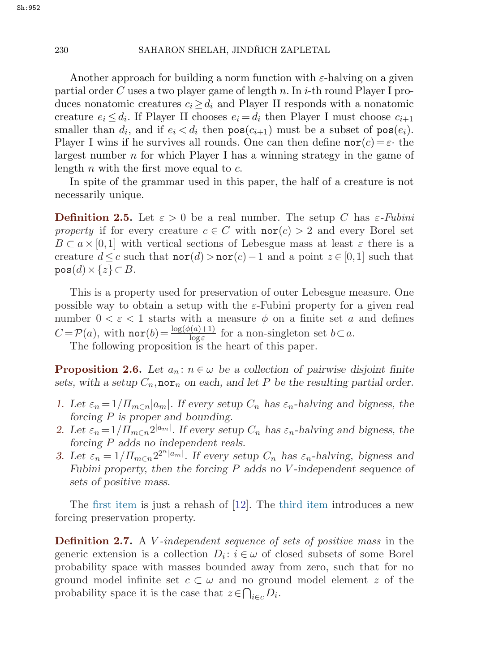Another approach for building a norm function with  $\varepsilon$ -halving on a given partial order C uses a two player game of length n. In i-th round Player I produces nonatomic creatures  $c_i \geq d_i$  and Player II responds with a nonatomic creature  $e_i \leq d_i$ . If Player II chooses  $e_i = d_i$  then Player I must choose  $c_{i+1}$ smaller than  $d_i$ , and if  $e_i < d_i$  then  $pos(c_{i+1})$  must be a subset of  $pos(e_i)$ . Player I wins if he survives all rounds. One can then define  $\text{nor}(c) = \varepsilon$  the largest number  $n$  for which Player I has a winning strategy in the game of length n with the first move equal to  $c$ .

In spite of the grammar used in this paper, the half of a creature is not necessarily unique.

**Definition 2.5.** Let  $\varepsilon > 0$  be a real number. The setup C has  $\varepsilon$ -Fubini *property* if for every creature  $c \in C$  with  $\text{nor}(c) > 2$  and every Borel set  $B \subset a \times [0,1]$  with vertical sections of Lebesgue mass at least  $\varepsilon$  there is a creature  $d \leq c$  such that  $\text{nor}(d) > \text{nor}(c) - 1$  and a point  $z \in [0,1]$  such that  $pos(d) \times \{z\} \subset B$ .

This is a property used for preservation of outer Lebesgue measure. One possible way to obtain a setup with the  $\varepsilon$ -Fubini property for a given real number  $0 < \varepsilon < 1$  starts with a measure  $\phi$  on a finite set a and defines  $C = \mathcal{P}(a)$ , with  $\text{nor}(b) = \frac{\log(\phi(a)+1)}{-\log \varepsilon}$  for a non-singleton set  $b \subset a$ .<br>The following proposition is the heart of this paper

The following proposition is the heart of this paper.

**Proposition 2.6.** *Let*  $a_n : n \in \omega$  *be a collection of pairwise disjoint finite* sets, with a setup  $C_n$ , nor<sub>n</sub> on each, and let P be the resulting partial order.

- *1.* Let  $\varepsilon_n = 1/\prod_{m \in n} |a_m|$ *. If every setup*  $C_n$  *has*  $\varepsilon_n$ -halving and bigness, the *forcing* P *is proper and bounding.*
- 2. Let  $\varepsilon_n = 1/\prod_{m \in n} 2^{|a_m|}$ . If every setup  $C_n$  has  $\varepsilon_n$ -halving and bigness, the *forcing* P *adds no independent reals.*
- 3. Let  $\varepsilon_n = 1/\prod_{m \in n} 2^{2^n |a_m|}$ . If every setup  $C_n$  has  $\varepsilon_n$ -halving, bigness and *Fubini property, then the forcing* P *adds no* V *-independent sequence of sets of positive mass.*

The first item is just a rehash of [[12\]](#page-18-0). The third item introduces a new forcing preservation property.

**Definition 2.7.** A V *-independent sequence of sets of positive mass* in the generic extension is a collection  $D_i: i \in \omega$  of closed subsets of some Borel probability space with masses bounded away from zero, such that for no ground model infinite set  $c \subset \omega$  and no ground model element z of the probability space it is the case that  $z \in \bigcap_{i \in c} D_i$ .

<span id="page-5-0"></span>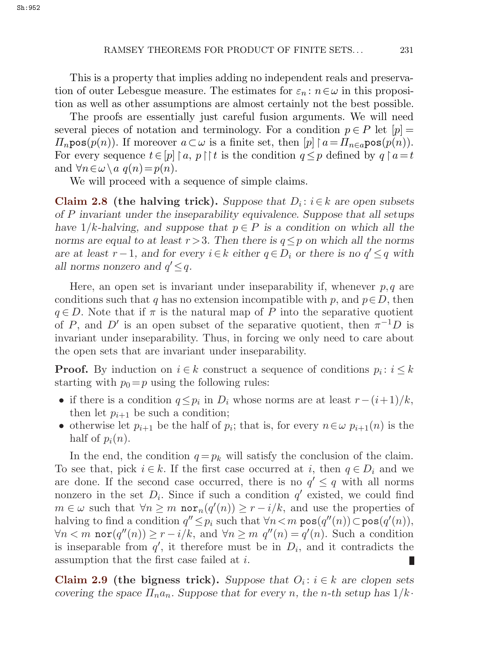<span id="page-6-0"></span>This is a property that implies adding no independent reals and preservation of outer Lebesgue measure. The estimates for  $\varepsilon_n : n \in \omega$  in this proposition as well as other assumptions are almost certainly not the best possible.

The proofs are essentially just careful fusion arguments. We will need several pieces of notation and terminology. For a condition  $p \in P$  let  $[p] =$  $\Pi_n$ pos $(p(n))$ . If moreover  $a \subset \omega$  is a finite set, then  $[p] \upharpoonright a = \Pi_{n \in a}$ pos $(p(n))$ . For every sequence  $t \in [p] \mid a, p \mid t$  is the condition  $q \leq p$  defined by  $q \mid a = t$ and  $\forall n \in \omega \setminus a$   $q(n)=p(n)$ .

We will proceed with a sequence of simple claims.

**Claim 2.8** (the halving trick). Suppose that  $D_i: i \in k$  are open subsets *of* P *invariant under the inseparability equivalence. Suppose that all setups have*  $1/k$ *-halving, and suppose that*  $p \in P$  *is a condition on which all the norms are equal to at least*  $r > 3$ *. Then there is*  $q \leq p$  *on which all the norms are at least*  $r-1$ *, and for every*  $i \in k$  *either*  $q \in D_i$  *or there is no*  $q' \leq q$  *with all norms nonzero and*  $q' \leq q$ *.* 

Here, an open set is invariant under inseparability if, whenever  $p, q$  are conditions such that q has no extension incompatible with p, and  $p \in D$ , then  $q \in D$ . Note that if  $\pi$  is the natural map of P into the separative quotient of P, and D' is an open subset of the separative quotient, then  $\pi^{-1}D$  is invariant under inseparability. Thus, in forcing we only need to care about the open sets that are invariant under inseparability.

**Proof.** By induction on  $i \in k$  construct a sequence of conditions  $p_i : i \leq k$ starting with  $p_0=p$  using the following rules:

- if there is a condition  $q \leq p_i$  in  $D_i$  whose norms are at least  $r-(i+1)/k$ , then let  $p_{i+1}$  be such a condition;
- otherwise let  $p_{i+1}$  be the half of  $p_i$ ; that is, for every  $n \in \omega$   $p_{i+1}(n)$  is the half of  $p_i(n)$ .

In the end, the condition  $q = p_k$  will satisfy the conclusion of the claim. To see that, pick  $i \in k$ . If the first case occurred at i, then  $q \in D_i$  and we are done. If the second case occurred, there is no  $q' \leq q$  with all norms nonzero in the set  $D_i$ . Since if such a condition q' existed, we could find  $m \in \omega$  such that  $\forall n \geq m$  nor $_n(q'(n)) \geq r - i/k$ , and use the properties of halving to find a condition  $q'' \leq p_i$  such that  $\forall n < m$  pos $(q''(n)) \subset \texttt{pos}(q'(n)),$  $\forall n \leq m \text{ nor}(q''(n)) \geq r - i/k$ , and  $\forall n \geq m \ q''(n) = q'(n)$ . Such a condition is inseparable from  $q'$ , it therefore must be in  $D_i$ , and it contradicts the assumption that the first case failed at i. Ш

**Claim 2.9** (the bigness trick). Suppose that  $O_i$ :  $i \in k$  are clopen sets *covering the space*  $\Pi_n a_n$ . Suppose that for every n, the n-th setup has  $1/k$ .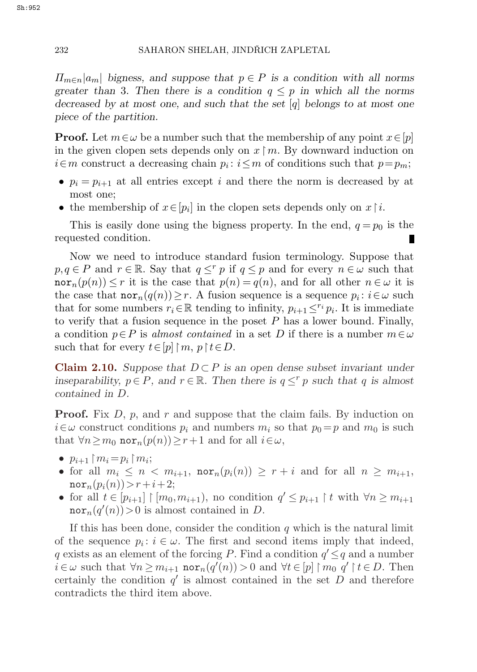$\Pi_{m \in n} |a_m|$  bigness, and suppose that  $p \in P$  is a condition with all norms *greater than* 3*. Then there is a condition*  $q \leq p$  *in which all the norms decreased by at most one, and such that the set* [q] *belongs to at most one piece of the partition.*

**Proof.** Let  $m \in \omega$  be a number such that the membership of any point  $x \in [p]$ in the given clopen sets depends only on  $x \upharpoonright m$ . By downward induction on  $i \in m$  construct a decreasing chain  $p_i : i \leq m$  of conditions such that  $p=p_m$ ;

- $p_i = p_{i+1}$  at all entries except i and there the norm is decreased by at most one;
- the membership of  $x \in [p_i]$  in the clopen sets depends only on  $x \upharpoonright i$ .

This is easily done using the bigness property. In the end,  $q = p_0$  is the requested condition.

Now we need to introduce standard fusion terminology. Suppose that  $p,q \in P$  and  $r \in \mathbb{R}$ . Say that  $q \leq r$  p if  $q \leq p$  and for every  $n \in \omega$  such that  $\operatorname{nor}_n(p(n)) \leq r$  it is the case that  $p(n) = q(n)$ , and for all other  $n \in \omega$  it is the case that  $\operatorname{nor}_n(q(n))\geq r$ . A fusion sequence is a sequence  $p_i : i \in \omega$  such that for some numbers  $r_i \in \mathbb{R}$  tending to infinity,  $p_{i+1} \leq r_i p_i$ . It is immediate to verify that a fusion sequence in the poset  $P$  has a lower bound. Finally, a condition  $p \in P$  is *almost contained* in a set D if there is a number  $m \in \omega$ such that for every  $t \in [p] \upharpoonright m, p \upharpoonright t \in D$ .

**Claim 2.10.** *Suppose that*  $D \subset P$  *is an open dense subset invariant under inseparability,*  $p \in P$ *, and*  $r \in \mathbb{R}$ *. Then there is*  $q \leq^r p$  *such that* q *is almost contained in* D*.*

**Proof.** Fix D, p, and r and suppose that the claim fails. By induction on  $i \in \omega$  construct conditions  $p_i$  and numbers  $m_i$  so that  $p_0 = p$  and  $m_0$  is such that  $\forall n \geq m_0 \text{ nor}_n(p(n)) \geq r+1$  and for all  $i \in \omega$ ,

- $p_{i+1} \upharpoonright m_i = p_i \upharpoonright m_i;$
- for all  $m_i \leq n < m_{i+1}$ ,  $\operatorname{nor}_n(p_i(n)) \geq r+i$  and for all  $n \geq m_{i+1}$ ,  $\mathrm{nor}_{n}(p_{i}(n)) > r+i+2;$
- for all  $t \in [p_{i+1}] \restriction [m_0, m_{i+1})$ , no condition  $q' \leq p_{i+1} \restriction t$  with  $\forall n \geq m_{i+1}$  $\mathrm{nor}_n(q'(n))$  > 0 is almost contained in D.

If this has been done, consider the condition  $q$  which is the natural limit of the sequence  $p_i : i \in \omega$ . The first and second items imply that indeed, q exists as an element of the forcing P. Find a condition  $q' \leq q$  and a number  $i \in \omega$  such that  $\forall n \geq m_{i+1}$  nor<sub>n</sub> $(q'(n)) > 0$  and  $\forall t \in [p] \upharpoonright m_0$   $q' \upharpoonright t \in D$ . Then certainly the condition  $q'$  is almost contained in the set D and therefore contradicts the third item above.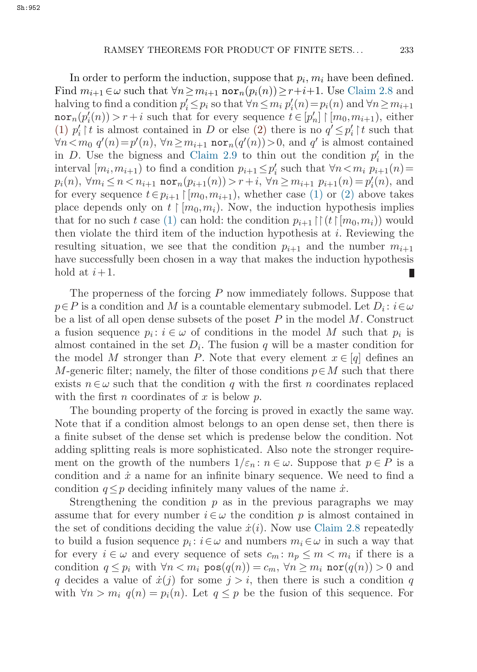In order to perform the induction, suppose that  $p_i, m_i$  have been defined. Find  $m_{i+1} \in \omega$  such that  $\forall n \geq m_{i+1}$  nor $_n(p_i(n)) \geq r+i+1$ . Use [Claim 2.8](#page-6-0) and halving to find a condition  $p'_i \leq p_i$  so that  $\forall n \leq m_i$   $p'_i(n) = p_i(n)$  and  $\forall n \geq m_{i+1}$  $\text{nor}_n(p'_i(n)) > r + i$  such that for every sequence  $t \in [p'_n] \restriction [m_0, m_{i+1})$ , either (1)  $p'_i \upharpoonright t$  is almost contained in D or else (2) there is no  $q' \leq p'_i \upharpoonright t$  such that  $\forall n < m_0$   $q'(n) = p'(n)$ ,  $\forall n \ge m_{i+1}$  nor<sub>n</sub> $(q'(n)) > 0$ , and q' is almost contained<br>in  $D$ . Here the highest cond Claim 2.0 to thin out the condition of in the in D. Use the bigness and [Claim 2.9](#page-6-0) to thin out the condition  $p'_i$  in the interval  $[m_i, m_{i+1}]$  to find a condition  $p_{i+1} \leq p'_i$  such that  $\forall n \leq m$ ,  $p_{i+1}(n) =$  $p_i(n)$ ,  $\forall m_i \leq n < n_{i+1}$  nor $n(p_{i+1}(n)) > r + i$ ,  $\forall n \geq m_{i+1}$   $p_{i+1}(n) = p'_i(n)$ , and for every sequence  $t \in p_{i+1} \mid [m_0, m_{i+1})$ , whether case (1) or (2) above takes place depends only on  $t \mid [m_0, m_i)$ . Now, the induction hypothesis implies<br>that for no such t gaso (1) can hold; the condition  $n = \mathbb{N}(t)$  for  $m$  ) would that for no such t case (1) can hold: the condition  $p_{i+1} \upharpoonright (t \upharpoonright [m_0, m_i))$  would<br>then vialets the third item of the induction hypothesis at a Beviewing the then violate the third item of the induction hypothesis at  $i$ . Reviewing the resulting situation, we see that the condition  $p_{i+1}$  and the number  $m_{i+1}$ have successfully been chosen in a way that makes the induction hypothesis hold at  $i+1$ . Ш

The properness of the forcing P now immediately follows. Suppose that  $p \in P$  is a condition and M is a countable elementary submodel. Let  $D_i : i \in \omega$ be a list of all open dense subsets of the poset  $P$  in the model  $M$ . Construct a fusion sequence  $p_i : i \in \omega$  of conditions in the model M such that  $p_i$  is almost contained in the set  $D_i$ . The fusion q will be a master condition for the model M stronger than P. Note that every element  $x \in [q]$  defines an M-generic filter; namely, the filter of those conditions  $p \in M$  such that there exists  $n \in \omega$  such that the condition q with the first n coordinates replaced with the first n coordinates of x is below  $p$ .

The bounding property of the forcing is proved in exactly the same way. Note that if a condition almost belongs to an open dense set, then there is a finite subset of the dense set which is predense below the condition. Not adding splitting reals is more sophisticated. Also note the stronger requirement on the growth of the numbers  $1/\varepsilon_n : n \in \omega$ . Suppose that  $p \in P$  is a condition and  $\dot{x}$  a name for an infinite binary sequence. We need to find a condition  $q \leq p$  deciding infinitely many values of the name  $\dot{x}$ .

Strengthening the condition  $p$  as in the previous paragraphs we may assume that for every number  $i \in \omega$  the condition p is almost contained in the set of conditions deciding the value  $\dot{x}(i)$ . Now use [Claim 2.8](#page-6-0) repeatedly to build a fusion sequence  $p_i : i \in \omega$  and numbers  $m_i \in \omega$  in such a way that for every  $i \in \omega$  and every sequence of sets  $c_m : n_p \leq m < m_i$  if there is a condition  $q \leq p_i$  with  $\forall n < m_i$  pos $(q(n)) = c_m$ ,  $\forall n \geq m_i$  nor $(q(n)) > 0$  and q decides a value of  $\dot{x}(j)$  for some  $j>i$ , then there is such a condition q with  $\forall n > m_i$   $q(n) = p_i(n)$ . Let  $q \leq p$  be the fusion of this sequence. For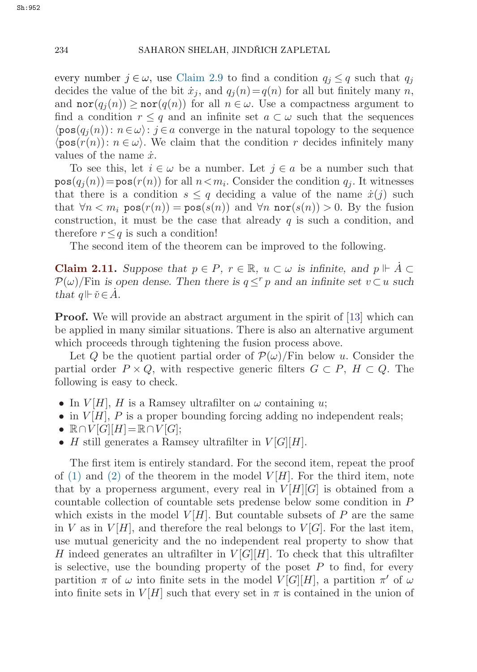<span id="page-9-0"></span>every number  $j \in \omega$ , use [Claim 2.9](#page-6-0) to find a condition  $q_j \leq q$  such that  $q_j$ decides the value of the bit  $\dot{x}_i$ , and  $q_i(n)=q(n)$  for all but finitely many n, and  $\operatorname{nor}(q_i(n)) \geq \operatorname{nor}(q(n))$  for all  $n \in \omega$ . Use a compactness argument to find a condition  $r \leq q$  and an infinite set  $a \subset \omega$  such that the sequences  $\langle pos(q_i(n)): n \in \omega \rangle$ :  $j \in a$  converge in the natural topology to the sequence  $\langle \text{pos}(r(n)) : n \in \omega \rangle$ . We claim that the condition r decides infinitely many values of the name  $\dot{x}$ .

To see this, let  $i \in \omega$  be a number. Let  $j \in a$  be a number such that  $pos(q_i(n)) = pos(r(n))$  for all  $n < m_i$ . Consider the condition  $q_i$ . It witnesses that there is a condition  $s \leq q$  deciding a value of the name  $\dot{x}(j)$  such that  $\forall n \leq m_i$  pos $(r(n)) = \text{pos}(s(n))$  and  $\forall n$  nor $(s(n)) > 0$ . By the fusion construction, it must be the case that already  $q$  is such a condition, and therefore  $r \leq q$  is such a condition!

The second item of the theorem can be improved to the following.

**Claim 2.11.** Suppose that  $p \in P$ ,  $r \in \mathbb{R}$ ,  $u \subset \omega$  is infinite, and  $p \Vdash A \subset \mathbb{R}$  $\mathcal{P}(\omega)$ /Fin *is open dense. Then there is*  $q \leq^r p$  *and an infinite set*  $v \subset u$  *such that*  $q \Vdash \check{v} \in A$ *.* 

**Proof.** We will provide an abstract argument in the spirit of [[13\]](#page-18-0) which can be applied in many similar situations. There is also an alternative argument which proceeds through tightening the fusion process above.

Let Q be the quotient partial order of  $\mathcal{P}(\omega)/\text{Fin}$  below u. Consider the partial order  $P \times Q$ , with respective generic filters  $G \subset P$ ,  $H \subset Q$ . The following is easy to check.

- In  $V[H]$ , H is a Ramsey ultrafilter on  $\omega$  containing u;
- in  $V[H]$ , P is a proper bounding forcing adding no independent reals;
- $\mathbb{R} \cap V[G][H] = \mathbb{R} \cap V[G];$
- H still generates a Ramsey ultrafilter in  $V[G][H]$ .

The first item is entirely standard. For the second item, repeat the proof of [\(1\)](#page-5-0) and [\(2\)](#page-5-0) of the theorem in the model  $V[H]$ . For the third item, note that by a properness argument, every real in  $V[H][G]$  is obtained from a countable collection of countable sets predense below some condition in P which exists in the model  $V[H]$ . But countable subsets of P are the same in V as in  $V[H]$ , and therefore the real belongs to  $V[G]$ . For the last item, use mutual genericity and the no independent real property to show that H indeed generates an ultrafilter in  $V[G][H]$ . To check that this ultrafilter is selective, use the bounding property of the poset  $P$  to find, for every partition  $\pi$  of  $\omega$  into finite sets in the model  $V[G][H]$ , a partition  $\pi'$  of  $\omega$ into finite sets in  $V[H]$  such that every set in  $\pi$  is contained in the union of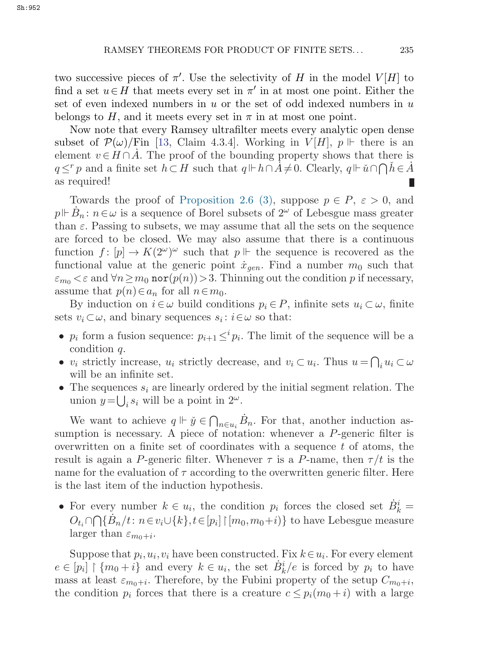two successive pieces of  $\pi'$ . Use the selectivity of H in the model  $V[H]$  to find a set  $u \in H$  that meets every set in  $\pi'$  in at most one point. Either the set of even indexed numbers in u or the set of odd indexed numbers in  $u$ belongs to H, and it meets every set in  $\pi$  in at most one point.

Now note that every Ramsey ultrafilter meets every analytic open dense subset of  $\mathcal{P}(\omega)/\text{Fin}$  [[13,](#page-18-0) Claim 4.3.4]. Working in  $V[H]$ ,  $p \Vdash$  there is an element  $v \in H \cap A$ . The proof of the bounding property shows that there is  $q \leq^r p$  and a finite set  $h \subset H$  such that  $q \Vdash h \cap A \neq 0$ . Clearly,  $q \Vdash \check{u} \cap \bigcap h \in A$ as required!

Towards the proof of [Proposition 2.6 \(3\)](#page-5-0), suppose  $p \in P$ ,  $\varepsilon > 0$ , and  $p \Vdash \dot{B}_n : n \in \omega$  is a sequence of Borel subsets of  $2^{\omega}$  of Lebesgue mass greater than  $\varepsilon$ . Passing to subsets, we may assume that all the sets on the sequence are forced to be closed. We may also assume that there is a continuous function  $f: [p] \to K(2^{\omega})^{\omega}$  such that  $p \Vdash$  the sequence is recovered as the functional value at the generic point  $\dot{x}_{gen}$ . Find a number  $m_0$  such that  $\varepsilon_{m_0} < \varepsilon$  and  $\forall n \ge m_0$  nor $(p(n)) > 3$ . Thinning out the condition p if necessary, assume that  $p(n) \in a_n$  for all  $n \in m_0$ .

By induction on  $i \in \omega$  build conditions  $p_i \in P$ , infinite sets  $u_i \subset \omega$ , finite sets  $v_i \subset \omega$ , and binary sequences  $s_i : i \in \omega$  so that:

- $p_i$  form a fusion sequence:  $p_{i+1} \leq^{i} p_i$ . The limit of the sequence will be a condition q.
- $v_i$  strictly increase,  $u_i$  strictly decrease, and  $v_i \subset u_i$ . Thus  $u = \bigcap_i u_i \subset \omega$ will be an infinite set.
- The sequences  $s_i$  are linearly ordered by the initial segment relation. The union  $y = \bigcup_i s_i$  will be a point in  $2^{\omega}$ .

We want to achieve  $q \Vdash \check{y} \in \bigcap_{n \in u_i} B_n$ . For that, another induction assumption is necessary. A piece of notation: whenever a P-generic filter is overwritten on a finite set of coordinates with a sequence  $t$  of atoms, the result is again a P-generic filter. Whenever  $\tau$  is a P-name, then  $\tau/t$  is the name for the evaluation of  $\tau$  according to the overwritten generic filter. Here is the last item of the induction hypothesis.

• For every number  $k \in u_i$ , the condition  $p_i$  forces the closed set  $\dot{B}_k^i =$  $O_{t_i} \cap \bigcap {\dot{B}_n}/{t} : n \in v_i \cup \{k\}, t \in [p_i] \mid [m_0, m_0 + i) \}$  to have Lebesgue measure larger than  $\varepsilon_{m_0+i}$ .

Suppose that  $p_i, u_i, v_i$  have been constructed. Fix  $k \in u_i$ . For every element  $e \in [p_i] \restriction \{m_0 + i\}$  and every  $k \in u_i$ , the set  $B_k^i/e$  is forced by  $p_i$  to have mass at least  $\varepsilon_{m_0+i}$ . Therefore, by the Fubini property of the setup  $C_{m_0+i}$ , the condition  $p_i$  forces that there is a creature  $c \leq p_i(m_0 + i)$  with a large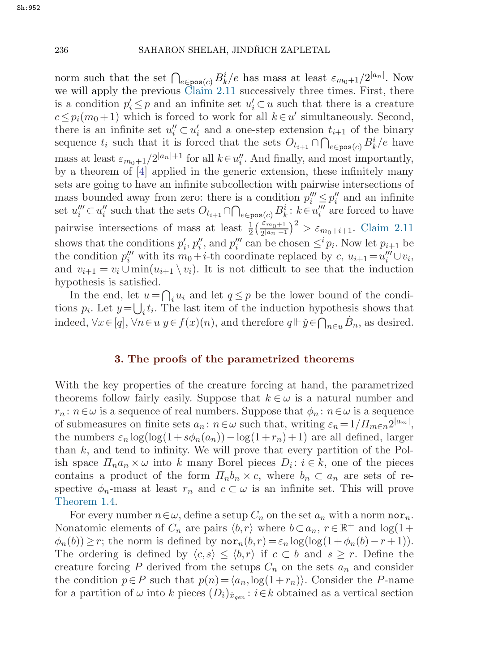norm such that the set  $\bigcap_{e \in \text{pos}(c)} B_k^i/e$  has mass at least  $\varepsilon_{m_0+1}/2^{|a_n|}$ . Now<br>we will apply the previous Claim 2.11 successively three times. First, there we will apply the previous [Claim 2.11](#page-9-0) successively three times. First, there is a condition  $p'_i \leq p$  and an infinite set  $u'_i \subset u$  such that there is a creature  $c \leq p_i(m_0+1)$  which is forced to work for all  $k \in u'$  simultaneously. Second, there is an infinite set  $u''_i \subset u'_i$  and a one-step extension  $t_{i+1}$  of the binary<br>convenient with the formal that the sets  $\overline{O} = \overline{O} \overline{O}$ .  $\overline{P}^{i}/e$  have sequence  $t_i$  such that it is forced that the sets  $O_{t_{i+1}} \cap \bigcap_{e \in \text{pos}(c)} B_k^i/e$  have mass at least  $\varepsilon_{m_0+1}/2^{|a_n|+1}$  for all  $k \in u''$ . And finally, and most importantly,<br>by a theorem of [4] applied in the concrise extension, these infinitely many by a theorem of [\[4](#page-18-0)] applied in the generic extension, these infinitely many sets are going to have an infinite subcollection with pairwise intersections of mass bounded away from zero: there is a condition  $p_i''' \leq p_i''$  and an infinite set  $u_i''' \subset u_i''$  such that the sets  $O_{t_{i+1}} \cap \bigcap_{e \in \text{pos}(c)} B_k^i : k \in u_i'''$  are forced to have pairwise intersections of mass at least  $\frac{1}{2} \left( \frac{\varepsilon_{m_0+1}}{2^{|a_n|+1}} \right)^2 > \varepsilon_{m_0+i+1}$ . [Claim 2.11](#page-9-0)<br>shows that the conditions  $n'$ ,  $n''$  and  $n''$  can be chosen  $\leq^{i} n$ . Now let  $n_{i+1}$  be shows that the conditions  $p'_i, p''_i$ , and  $p''_i$  can be chosen  $\leq^i p_i$ . Now let  $p_{i+1}$  be the condition  $p'''_i$  with its  $m_i \neq i$  the coordinate replaced by  $g_i \leftarrow p_i'''_i$ the condition  $p_i^{\prime\prime\prime}$  with its  $m_0 + i$ -th coordinate replaced by  $c, u_{i+1} = u_i^{\prime\prime\prime} \cup v_i$ , and  $v_{i+1} = v_i \cup \min(u_{i+1} \setminus v_i)$ . It is not difficult to see that the induction hypothesis is satisfied.

In the end, let  $u = \bigcap_i u_i$  and let  $q \leq p$  be the lower bound of the conditions  $p_i$ . Let  $y = \bigcup_i t_i$ . The last item of the induction hypothesis shows that indeed,  $\forall x \in [q], \forall n \in \mathcal{U} \text{ } y \in f(x)(n)$ , and therefore  $q \Vdash \check{y} \in \bigcap_{n \in \mathcal{U}} \dot{B}_n$ , as desired.

#### **3. The proofs of the parametrized theorems**

With the key properties of the creature forcing at hand, the parametrized theorems follow fairly easily. Suppose that  $k \in \omega$  is a natural number and  $r_n: n \in \omega$  is a sequence of real numbers. Suppose that  $\phi_n: n \in \omega$  is a sequence of submeasures on finite sets  $a_n : n \in \omega$  such that, writing  $\varepsilon_n = 1/\prod_{m \in n} 2^{|a_m|}$ , the numbers  $\varepsilon_n \log(\log(1+s\phi_n(a_n))-\log(1+r_n)+1)$  are all defined, larger than  $k$ , and tend to infinity. We will prove that every partition of the Polish space  $\Pi_n a_n \times \omega$  into k many Borel pieces  $D_i : i \in k$ , one of the pieces contains a product of the form  $\Pi_n b_n \times c$ , where  $b_n \subset a_n$  are sets of respective  $\phi_n$ -mass at least  $r_n$  and  $c \subset \omega$  is an infinite set. This will prove [Theorem 1.4.](#page-1-0)

For every number  $n \in \omega$ , define a setup  $C_n$  on the set  $a_n$  with a norm nor<sub>n</sub>. Nonatomic elements of  $C_n$  are pairs  $\langle b, r \rangle$  where  $b \subset a_n$ ,  $r \in \mathbb{R}^+$  and  $\log(1 +$  $\phi_n(b)$ ) ≥ r; the norm is defined by  $\text{nor}_n(b,r) = \varepsilon_n \log(\log(1+\phi_n(b)-r+1)).$ The ordering is defined by  $\langle c,s \rangle \leq \langle b,r \rangle$  if  $c \subset b$  and  $s \geq r$ . Define the creature forcing P derived from the setups  $C_n$  on the sets  $a_n$  and consider the condition  $p \in P$  such that  $p(n) = \langle a_n, \log(1+r_n) \rangle$ . Consider the P-name for a partition of  $\omega$  into k pieces  $(D_i)_{\dot{x}_{gen}}$ :  $i \in k$  obtained as a vertical section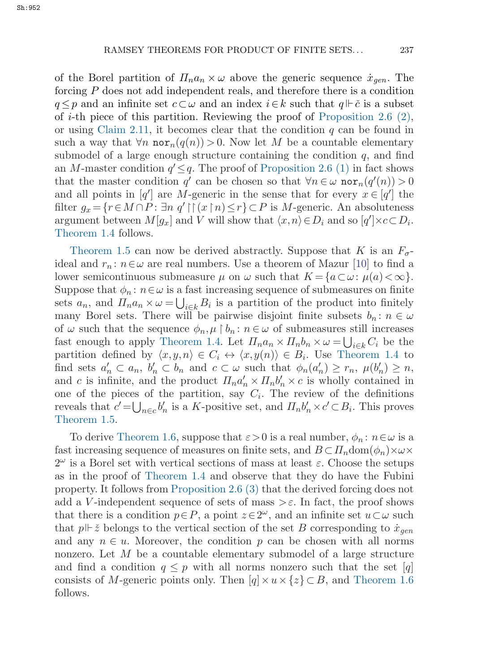of the Borel partition of  $\Pi_n a_n \times \omega$  above the generic sequence  $\dot{x}_{gen}$ . The forcing P does not add independent reals, and therefore there is a condition  $q \leq p$  and an infinite set  $c \subset \omega$  and an index  $i \in k$  such that  $q \Vdash \check{c}$  is a subset of *i*-th piece of this partition. Reviewing the proof of Proposition 2.6  $(2)$ , or using [Claim 2.11,](#page-9-0) it becomes clear that the condition  $q$  can be found in such a way that  $\forall n \text{ nor}_n(q(n)) > 0$ . Now let M be a countable elementary submodel of a large enough structure containing the condition  $q$ , and find an M-master condition  $q' \leq q$ . The proof of [Proposition 2.6 \(1\)](#page-5-0) in fact shows that the master condition  $q'$  can be chosen so that  $\forall n \in \omega \text{ nor}_n(q'(n)) > 0$ and all points in  $[q']$  are M-generic in the sense that for every  $x \in [q']$  the filter  $g_x = \{r \in M \cap P : \exists n \ q' \mid \mid (x \mid n) \le r\} \subset P$  is M-generic. An absoluteness argument between  $M[g_x]$  and V will show that  $\langle x,n\rangle \in D_i$  and so  $[q'] \times c \subset D_i$ . [Theorem 1.4](#page-1-0) follows.

[Theorem 1.5](#page-2-0) can now be derived abstractly. Suppose that K is an  $F_{\sigma}$ ideal and  $r_n: n \in \omega$  are real numbers. Use a theorem of Mazur [\[10](#page-18-0)] to find a lower semicontinuous submeasure  $\mu$  on  $\omega$  such that  $K = \{a \subset \omega : \mu(a) < \infty\}.$ Suppose that  $\phi_n : n \in \omega$  is a fast increasing sequence of submeasures on finite sets  $a_n$ , and  $\Pi_n a_n \times \omega = \bigcup_{i \in k} B_i$  is a partition of the product into finitely many Borel sets. There will be pairwise disjoint finite subsets  $b_n : n \in \omega$ of  $\omega$  such that the sequence  $\phi_n, \mu \restriction b_n : n \in \omega$  of submeasures still increases fast enough to apply [Theorem 1.4.](#page-1-0) Let  $\Pi_n a_n \times \Pi_n b_n \times \omega = \bigcup_{i \in k} C_i$  be the partition defined by  $\langle x,y,n \rangle \in C_i \leftrightarrow \langle x,y(n) \rangle \in B_i$ . Use [Theorem 1.4](#page-1-0) to find sets  $a'_n \subset a_n$ ,  $b'_n \subset b_n$  and  $c \subset \omega$  such that  $\phi_n(a'_n) \geq r_n$ ,  $\mu(b'_n) \geq n$ , and c is infinite, and the product  $\Pi_n a'_n \times \Pi_n b'_n \times c$  is wholly contained in one of the pieces of the partition, say  $C_i$ . The review of the definitions reveals that  $c' = \bigcup_{n \in c} b'_n$  is a K-positive set, and  $\Pi_n b'_n \times c' \subset B_i$ . This proves [Theorem 1.5.](#page-2-0)

To derive [Theorem 1.6,](#page-2-0) suppose that  $\varepsilon > 0$  is a real number,  $\phi_n : n \in \omega$  is a fast increasing sequence of measures on finite sets, and  $B \subset \prod_n \text{dom}(\phi_n) \times \omega \times$  $2^{\omega}$  is a Borel set with vertical sections of mass at least  $\varepsilon$ . Choose the setups as in the proof of [Theorem 1.4](#page-1-0) and observe that they do have the Fubini property. It follows from [Proposition 2.6 \(3\)](#page-5-0) that the derived forcing does not add a V-independent sequence of sets of mass  $>\varepsilon$ . In fact, the proof shows that there is a condition  $p \in P$ , a point  $z \in 2^{\omega}$ , and an infinite set  $u \subset \omega$  such that  $p \Vdash \check{z}$  belongs to the vertical section of the set B corresponding to  $\dot{x}_{gen}$ and any  $n \in u$ . Moreover, the condition p can be chosen with all norms nonzero. Let  $M$  be a countable elementary submodel of a large structure and find a condition  $q \leq p$  with all norms nonzero such that the set [q] consists of M-generic points only. Then  $[q] \times u \times \{z\} \subset B$ , and [Theorem 1.6](#page-2-0) follows.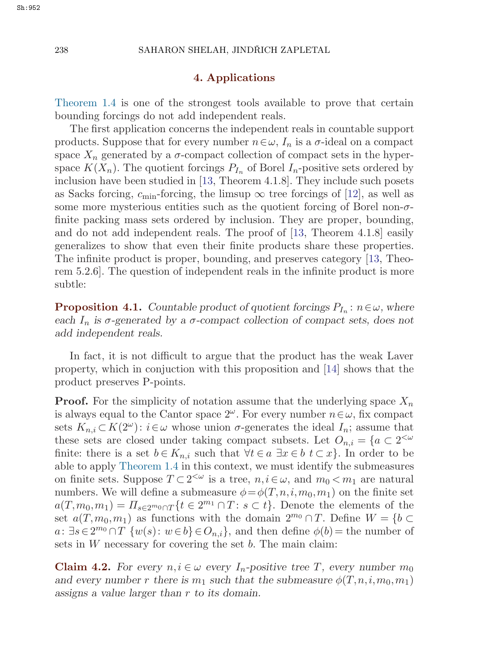#### **4. Applications**

[Theorem 1.4](#page-1-0) is one of the strongest tools available to prove that certain bounding forcings do not add independent reals.

The first application concerns the independent reals in countable support products. Suppose that for every number  $n \in \omega$ ,  $I_n$  is a  $\sigma$ -ideal on a compact space  $X_n$  generated by a  $\sigma$ -compact collection of compact sets in the hyperspace  $K(X_n)$ . The quotient forcings  $P_{I_n}$  of Borel  $I_n$ -positive sets ordered by inclusion have been studied in [[13,](#page-18-0) Theorem 4.1.8]. They include such posets as Sacks forcing,  $c_{\text{min}}$ -forcing, the limsup  $\infty$  tree forcings of [[12\]](#page-18-0), as well as some more mysterious entities such as the quotient forcing of Borel non- $\sigma$ finite packing mass sets ordered by inclusion. They are proper, bounding, and do not add independent reals. The proof of [[13](#page-18-0), Theorem 4.1.8] easily generalizes to show that even their finite products share these properties. The infinite product is proper, bounding, and preserves category [[13,](#page-18-0) Theorem 5.2.6]. The question of independent reals in the infinite product is more subtle:

**Proposition 4.1.** *Countable product of quotient forcings*  $P_{I_n}$ :  $n \in \omega$ *, where each*  $I_n$  *is*  $\sigma$ -generated by a  $\sigma$ -compact collection of compact sets, does not *add independent reals.*

In fact, it is not difficult to argue that the product has the weak Laver property, which in conjuction with this proposition and [[14](#page-18-0)] shows that the product preserves P-points.

**Proof.** For the simplicity of notation assume that the underlying space  $X_n$ is always equal to the Cantor space  $2^{\omega}$ . For every number  $n \in \omega$ , fix compact sets  $K_{n,i} \subset K(2^{\omega})$ :  $i \in \omega$  whose union  $\sigma$ -generates the ideal  $I_n$ ; assume that these sets are closed under taking compact subsets. Let  $O_{n,i} = \{a \in 2^{< \omega}\}$ finite: there is a set  $b \in K_{n,i}$  such that  $\forall t \in a \exists x \in b \ t \subset x$ . In order to be able to apply [Theorem 1.4](#page-1-0) in this context, we must identify the submeasures on finite sets. Suppose  $T \subset 2^{<\omega}$  is a tree,  $n, i \in \omega$ , and  $m_0 < m_1$  are natural numbers. We will define a submeasure  $\phi = \phi(T, n, i, m_0, m_1)$  on the finite set  $a(T,m_0,m_1) = \prod_{s\in 2^m} \{t \in 2^{m_1} \cap T : s \subset t\}.$  Denote the elements of the set  $a(T,m_0,m_1)$  as functions with the domain  $2^{m_0} \cap T$ . Define  $W = \{b \subset$  $a: \exists s \in 2^{m_0} \cap T$  { $w(s): w \in b$ }  $\in O_{n,i}$ }, and then define  $\phi(b)$  = the number of sets in  $W$  necessary for covering the set  $b$ . The main claim:

**Claim 4.2.** *For every*  $n, i \in \omega$  *every*  $I_n$ -positive tree T, every number  $m_0$ *and every number* r there is  $m_1$  such that the submeasure  $\phi(T, n, i, m_0, m_1)$ *assigns a value larger than* r *to its domain.*

Sh:952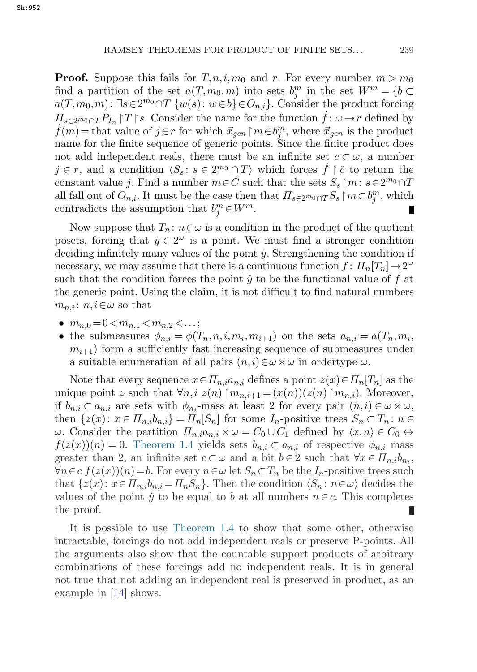**Proof.** Suppose this fails for  $T, n, i, m_0$  and r. For every number  $m > m_0$ find a partition of the set  $a(T, m_0, m)$  into sets  $b_j^m$  in the set  $W^m = \{b \in C(T, m_0, m): \exists a \in 3^m \cup T, \{a_0(a): a_0 \in b\} \subseteq Q, \}$ . Consider the product foreing  $a(T,m_0,m): \exists s\in 2^{m_0}\cap T \{w(s): w\in b\} \in O_{n,i}$ . Consider the product forcing  $\Pi_{s\in 2^m0\cap T}P_{I_n}$   $T \upharpoonright$  $\Pi_{s \in 2^m 0 \cap T} P_{I_n} |T| s$ . Consider the name for the function  $\dot{f} : \omega \to r$  defined by  $\dot{f}(m) =$  that value of  $j \in r$  for which  $\vec{x}_{gen} | m \in b_j^m$ , where  $\vec{x}_{gen}$  is the product name for the finite sequence of generic po name for the finite sequence of generic points. Since the finite product does not add independent reals, there must be an infinite set  $c \subset \omega$ , a number  $j \in r$ , and a condition  $\langle S_s : s \in 2^{m_0} \cap T \rangle$  which forces  $\dot{f} \restriction \check{c}$  to return the constant value *j*. Find a number  $m \in C$  such that the sets  $S_s \upharpoonright m : s \in 2^{m_0} \cap T$ all fall out of  $O_{n,i}$ . It must be the case then that  $\Pi_{s \in 2^m 0} \cap T S_s \upharpoonright m \subset b_j^m$ , which contradicts the assumption that  $b_j^m \in W^m$ .

Now suppose that  $T_n: n \in \omega$  is a condition in the product of the quotient posets, forcing that  $\dot{y} \in 2^{\omega}$  is a point. We must find a stronger condition deciding infinitely many values of the point  $\dot{y}$ . Strengthening the condition if necessary, we may assume that there is a continuous function  $f: \Pi_n[T_n] \to 2^{\omega}$ such that the condition forces the point  $\dot{y}$  to be the functional value of f at the generic point. Using the claim, it is not difficult to find natural numbers  $m_{n,i}: n, i \in \omega$  so that

- $m_{n,0} = 0 \lt m_{n,1} \lt m_{n,2} \lt \ldots;$
- the submeasures  $\phi_{n,i} = \phi(T_n, n, i, m_i, m_{i+1})$  on the sets  $a_{n,i} = a(T_n, m_i, n_i)$  $m_{i+1}$ ) form a sufficiently fast increasing sequence of submeasures under a suitable enumeration of all pairs  $(n,i) \in \omega \times \omega$  in ordertype  $\omega$ .

Note that every sequence  $x \in \Pi_{n,i} a_{n,i}$  defines a point  $z(x) \in \Pi_n[T_n]$  as the unique point z such that  $\forall n, i \ z(n) \mid m_{n,i+1} = (x(n))(z(n) \mid m_{n,i})$ . Moreover, if  $b_{n,i} \subset a_{n,i}$  are sets with  $\phi_{n,i}$ -mass at least 2 for every pair  $(n,i) \in \omega \times \omega$ , then  $\{z(x): x \in \Pi_{n,i} b_{n,i}\} = \Pi_n[S_n]$  for some  $I_n$ -positive trees  $S_n \subset T_n$ :  $n \in$ ω. Consider the partition  $\Pi_{n,i}a_{n,i} \times ω = C_0 ∪ C_1$  defined by  $\langle x,n \rangle ∈ C_0 \leftrightarrow$  $f(z(x))(n) = 0$ . [Theorem 1.4](#page-1-0) yields sets  $b_{n,i} \subset a_{n,i}$  of respective  $\phi_{n,i}$  mass greater than 2, an infinite set  $c \subset \omega$  and a bit  $b \in 2$  such that  $\forall x \in \Pi_{n,i} b_{n_i}$ ,  $\forall n \in c \ f(z(x))(n) = b.$  For every  $n \in \omega$  let  $S_n \subset T_n$  be the  $I_n$ -positive trees such that  $\{z(x): x \in \Pi_n, b_{n,i} = \Pi_n S_n\}$ . Then the condition  $\langle S_n : n \in \omega \rangle$  decides the values of the point  $\dot{y}$  to be equal to b at all numbers  $n \in c$ . This completes the proof.

It is possible to use [Theorem 1.4](#page-1-0) to show that some other, otherwise intractable, forcings do not add independent reals or preserve P-points. All the arguments also show that the countable support products of arbitrary combinations of these forcings add no independent reals. It is in general not true that not adding an independent real is preserved in product, as an example in [\[14\]](#page-18-0) shows.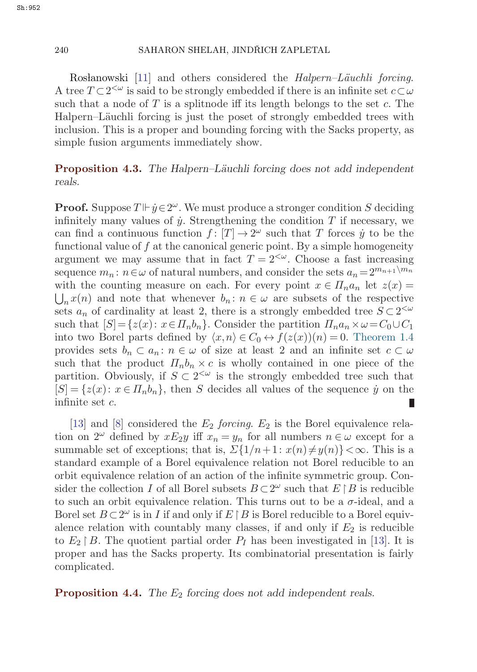#### 240 SAHARON SHELAH, JINDŘICH ZAPLETAL

Roslanowski [\[11](#page-18-0)] and others considered the *Halpern–Läuchli forcing*. A tree  $T \subset 2^{\leq \omega}$  is said to be strongly embedded if there is an infinite set  $c \subset \omega$ such that a node of T is a splitnode iff its length belongs to the set c. The Halpern–Läuchli forcing is just the poset of strongly embedded trees with inclusion. This is a proper and bounding forcing with the Sacks property, as simple fusion arguments immediately show.

**Proposition 4.3.** *The Halpern–Läuchli forcing does not add independent reals.*

**Proof.** Suppose  $T \vDash \dot{y} \in 2^{\omega}$ . We must produce a stronger condition S deciding infinitely many values of  $\dot{y}$ . Strengthening the condition T if necessary, we can find a continuous function  $f : [T] \to 2^{\omega}$  such that T forces  $\dot{y}$  to be the functional value of  $f$  at the canonical generic point. By a simple homogeneity argument we may assume that in fact  $T = 2^{<\omega}$ . Choose a fast increasing sequence  $m_n$ :  $n \in \omega$  of natural numbers, and consider the sets  $a_n = 2^{m_{n+1}}\{m_n\}$ with the counting measure on each. For every point  $x \in \Pi_n a_n$  let  $z(x) =$  $\bigcup_n x(n)$  and note that whenever  $b_n : n \in \omega$  are subsets of the respective sets  $a_n$  of cardinality at least 2, there is a strongly embedded tree  $S \subset 2^{<\omega}$ such that  $[S] = \{z(x): x \in \Pi_n b_n\}$ . Consider the partition  $\Pi_n a_n \times \omega = C_0 \cup C_1$ into two Borel parts defined by  $\langle x,n\rangle \in C_0 \leftrightarrow f(z(x))(n) = 0$ . [Theorem 1.4](#page-1-0) provides sets  $b_n \subset a_n$ :  $n \in \omega$  of size at least 2 and an infinite set  $c \subset \omega$ such that the product  $\Pi_n b_n \times c$  is wholly contained in one piece of the partition. Obviously, if  $S \subset 2^{\leq \omega}$  is the strongly embedded tree such that  $[S] = \{z(x): x \in \Pi_n b_n\}$ , then S decides all values of the sequence  $\dot{y}$  on the infinite set c.

[[13](#page-18-0)] and [\[8\]](#page-18-0) considered the  $E_2$  *forcing*.  $E_2$  is the Borel equivalence relation on  $2^{\omega}$  defined by  $xE_2y$  iff  $x_n = y_n$  for all numbers  $n \in \omega$  except for a summable set of exceptions; that is,  $\Sigma\{1/n+1: x(n)\neq y(n)\}<\infty$ . This is a standard example of a Borel equivalence relation not Borel reducible to an orbit equivalence relation of an action of the infinite symmetric group. Consider the collection I of all Borel subsets  $B \subset 2^{\omega}$  such that  $E \upharpoonright B$  is reducible to such an orbit equivalence relation. This turns out to be a  $\sigma$ -ideal, and a Borel set  $B \subset 2^{\omega}$  is in I if and only if  $E \upharpoonright B$  is Borel reducible to a Borel equivalence relation with countably many classes, if and only if  $E_2$  is reducible to  $E_2 \upharpoonright B$ . The quotient partial order  $P_I$  has been investigated in [[13\]](#page-18-0). It is proper and has the Sacks property. Its combinatorial presentation is fairly complicated.

**Proposition 4.4.** *The*  $E_2$  *forcing does not add independent reals.*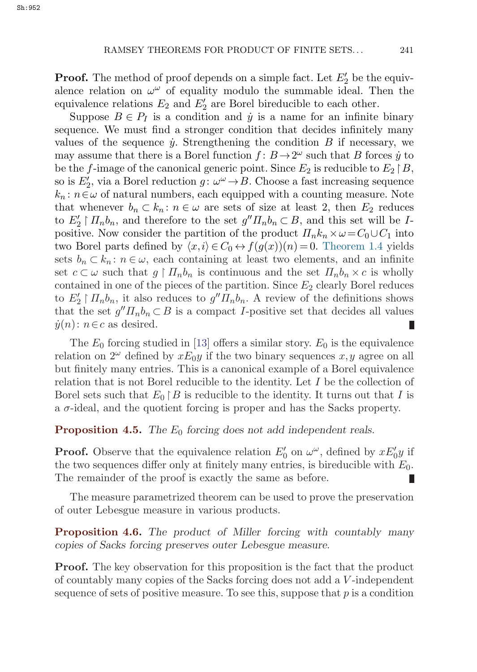**Proof.** The method of proof depends on a simple fact. Let  $E'_2$  be the equiv-<br>alonce relation on  $\omega^{\omega}$  of equality modulo the summable ideal. Then the alence relation on  $\omega^{\omega}$  of equality modulo the summable ideal. Then the equivalence relations  $E_2$  and  $E'_2$  are Borel bireducible to each other.<br>Suppose  $B \in \mathcal{P}_L$  is a condition and  $\dot{y}$  is a name for an infinite

Suppose  $B \in P_I$  is a condition and  $\dot{y}$  is a name for an infinite binary sequence. We must find a stronger condition that decides infinitely many values of the sequence  $\dot{y}$ . Strengthening the condition B if necessary, we may assume that there is a Borel function  $f: B \to 2^{\omega}$  such that B forces  $\dot{y}$  to be the f-image of the canonical generic point. Since  $E_2$  is reducible to  $E_2 \upharpoonright B$ , so is  $E'_2$ , via a Borel reduction  $g: \omega^{\omega} \to B$ . Choose a fast increasing sequence  $k : n \in \omega$  of natural numbers, each equipped with a counting measure. Note  $k_n$ :  $n \in \omega$  of natural numbers, each equipped with a counting measure. Note that whenever  $b_n \subset k_n$ :  $n \in \omega$  are sets of size at least 2, then  $E_2$  reduces to  $E_2' \upharpoonright \prod_n b_n$ , and therefore to the set  $g'' \prod_n b_n \subset B$ , and this set will be I-<br>positive Now consider the partition of the product  $\Pi$   $k \times \omega = C_0 \cup C_1$  into positive. Now consider the partition of the product  $\Pi_n k_n \times \omega = C_0 \cup C_1$  into two Borel parts defined by  $\langle x, i \rangle \in C_0 \leftrightarrow f(g(x))(n) = 0$ . [Theorem 1.4](#page-1-0) yields sets  $b_n \subset k_n$ :  $n \in \omega$ , each containing at least two elements, and an infinite set  $c \subset \omega$  such that  $g \restriction \Pi_n b_n$  is continuous and the set  $\Pi_n b_n \times c$  is wholly contained in one of the pieces of the partition. Since  $E_2$  clearly Borel reduces to  $E_2' \upharpoonright \prod_n b_n$ , it also reduces to  $g'' \prod_n b_n$ . A review of the definitions shows<br>that the set  $g'' \prod_b \subset B$  is a compact L-positive set that decides all values that the set  $g'' \Pi_n b_n \subset B$  is a compact *I*-positive set that decides all values  $\dot{y}(n): n \in \mathbb{C}$  as desired. П

The  $E_0$  forcing studied in [[13\]](#page-18-0) offers a similar story.  $E_0$  is the equivalence relation on  $2^{\omega}$  defined by  $xE_0y$  if the two binary sequences x, y agree on all but finitely many entries. This is a canonical example of a Borel equivalence relation that is not Borel reducible to the identity. Let I be the collection of Borel sets such that  $E_0 \upharpoonright B$  is reducible to the identity. It turns out that I is a  $\sigma$ -ideal, and the quotient forcing is proper and has the Sacks property.

**Proposition 4.5.** *The*  $E_0$  *forcing does not add independent reals.* 

**Proof.** Observe that the equivalence relation  $E'_0$  on  $\omega^{\omega}$ , defined by  $xE'_0y$  if the two sequences differ only at finitely many entries is bireducible with  $E_0$ the two sequences differ only at finitely many entries, is bireducible with  $E_0$ . The remainder of the proof is exactly the same as before.

The measure parametrized theorem can be used to prove the preservation of outer Lebesgue measure in various products.

**Proposition 4.6.** *The product of Miller forcing with countably many copies of Sacks forcing preserves outer Lebesgue measure.*

**Proof.** The key observation for this proposition is the fact that the product of countably many copies of the Sacks forcing does not add a V -independent sequence of sets of positive measure. To see this, suppose that  $p$  is a condition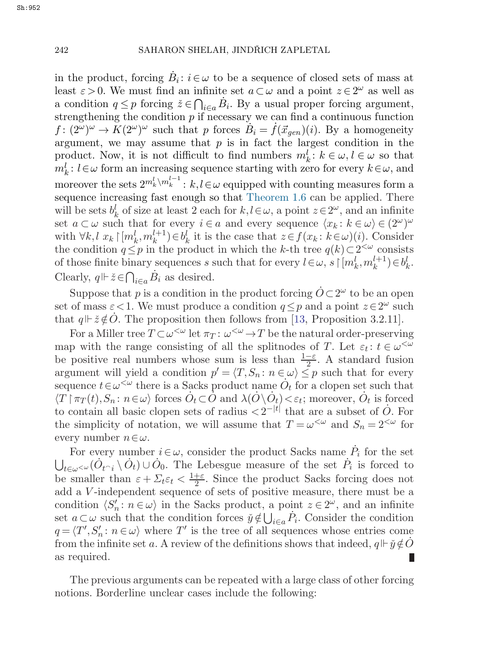in the product, forcing  $B_i: i \in \omega$  to be a sequence of closed sets of mass at least  $\varepsilon > 0$ . We must find an infinite set  $a \subset \omega$  and a point  $z \in 2^{\omega}$  as well as a condition  $q \leq p$  forcing  $\tilde{z} \in \bigcap_{i \in a} \tilde{B}_i$ . By a usual proper forcing argument, strengthening the condition  $p$  if necessary we can find a continuous function  $f: (2^{\omega})^{\omega} \to K(2^{\omega})^{\omega}$  such that p forces  $B_i = f(\vec{x}_{gen})(i)$ . By a homogeneity argument, we may assume that  $p$  is in fact the largest condition in the product. Now, it is not difficult to find numbers  $m_k^l : k \in \omega, l \in \omega$  so that  $m_k^l$ :  $l \in \omega$  form an increasing sequence starting with zero for every  $k \in \omega$ , and moreover the sets  $2^{m_k^l \setminus m_k^{l-1}}$ :  $k,l \in \omega$  equipped with counting measures form a sequence increasing fast enough so that [Theorem 1.6](#page-2-0) can be applied. There will be sets  $b_k^l$  of size at least 2 each for  $k, l \in \omega$ , a point  $z \in 2^{\omega}$ , and an infinite set  $a \subset \omega$  such that for every  $i \in a$  and every sequence  $\langle x_k : k \in \omega \rangle \in (2^{\omega})^{\omega}$ with  $\forall k, l \ x_k \upharpoonright [m_k^l, m_k^{l+1}) \in b_k^l$  it is the case that  $z \in f(x_k : k \in \omega)(i)$ . Consider the condition  $q \leq p$  in the product in which the k-th tree  $q(k) \subset 2^{<\omega}$  consists of those finite binary sequences s such that for every  $l \in \omega$ ,  $s \upharpoonright [m_k^l, m_k^{l+1}) \in b_k^l$ . Clearly,  $q \Vdash \check{z} \in \bigcap_{i \in a} \dot{B}_i$  as desired.

Suppose that p is a condition in the product forcing  $\dot{O} \subset 2^{\omega}$  to be an open set of mass  $\varepsilon < 1$ . We must produce a condition  $q \leq p$  and a point  $z \in 2^{\omega}$  such that  $q \not\parallel \check{z} \notin \dot{O}$ . The proposition then follows from [[13](#page-18-0), Proposition 3.2.11].

For a Miller tree  $T \subset \omega^{\leq \omega}$  let  $\pi_T : \omega^{\leq \omega} \to T$  be the natural order-preserving map with the range consisting of all the splitnodes of T. Let  $\varepsilon_t : t \in \omega^{\leq \omega}$ be positive real numbers whose sum is less than  $\frac{1-\varepsilon}{2}$ . A standard fusion argument will yield a condition  $p' = \langle T, S_n : n \in \omega \rangle \leq p$  such that for every argument will yield a condition  $p' = \langle T, S_n : n \in \omega \rangle \leq p$  such that for every sequence  $t \in \omega^{\leq \omega}$  there is a Sacks product name  $\dot{O}_t$  for a clopen set such that  $\langle T | \pi_T(t), S_n : n \in \omega \rangle$  forces  $\dot{O}_t \subset \dot{O}$  and  $\lambda(\dot{O} \setminus \dot{O}_t) < \varepsilon_t$ ; moreover,  $\dot{O}_t$  is forced to contain all basic clopen sets of radius  $\langle 2^{-|t|}$  that are a subset of  $\dot{O}$ . For the simplicity of notation, we will assume that  $T = \omega^{\langle \omega \rangle}$  and  $S_n = 2^{\langle \omega \rangle}$  for every number  $n \in \omega$ .

For every number  $i \in \omega$ , consider the product Sacks name  $\dot{P}_i$  for the set  $\bigcup_{t\in\omega\leq\omega}(\dot{O}_{t\cap i}\setminus\dot{O}_t)\cup\dot{O}_0.$  The Lebesgue measure of the set  $\dot{P}_i$  is forced to be smaller than  $\varepsilon + \sum_{t \in \mathcal{t}} \frac{1+\varepsilon}{2}$ . Since the product Sacks forcing does not add a *V*-independent sequence of sets of positive measure there must be a add a V -independent sequence of sets of positive measure, there must be a condition  $\langle S'_n : n \in \omega \rangle$  in the Sacks product, a point  $z \in 2^{\omega}$ , and an infinite set  $a \subset \omega$  such that the condition forces  $\check{y} \notin \bigcup_{i \in a} P_i$ . Consider the condition  $q = \langle T', S'_n : n \in \omega \rangle$  where T' is the tree of all sequences whose entries come. from the infinite set a. A review of the definitions shows that indeed,  $q \Vdash \check{y} \notin \dot{O}$ as required.

The previous arguments can be repeated with a large class of other forcing notions. Borderline unclear cases include the following: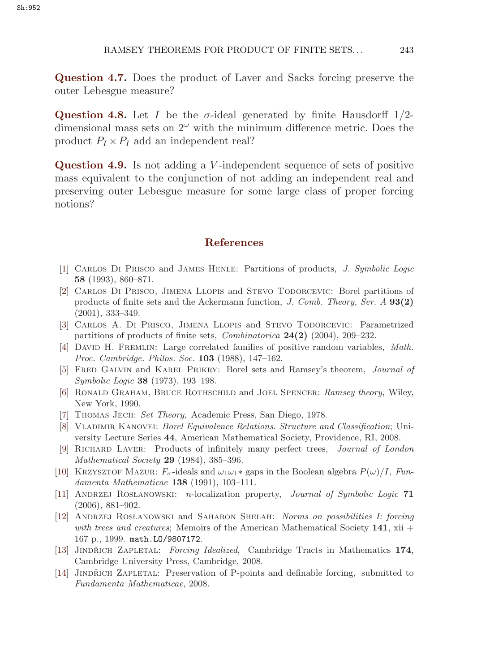<span id="page-18-0"></span>**Question 4.7.** Does the product of Laver and Sacks forcing preserve the outer Lebesgue measure?

**Question 4.8.** Let I be the  $\sigma$ -ideal generated by finite Hausdorff  $1/2$ dimensional mass sets on  $2^{\omega}$  with the minimum difference metric. Does the product  $P_I \times P_I$  add an independent real?

**Question 4.9.** Is not adding a *V*-independent sequence of sets of positive mass equivalent to the conjunction of not adding an independent real and preserving outer Lebesgue measure for some large class of proper forcing notions?

#### **References**

- [1] Carlos Di Prisco and James Henle: Partitions of products, *J. Symbolic Logic* **58** (1993), 860–871.
- [2] Carlos Di Prisco, Jimena Llopis and Stevo Todorcevic: Borel partitions of products of finite sets and the Ackermann function, *J. Comb. Theory, Ser. A* **93(2)** (2001), 333–349.
- [3] Carlos A. Di Prisco, Jimena Llopis and Stevo Todorcevic: Parametrized partitions of products of finite sets, *Combinatorica* **24(2)** (2004), 209–232.
- [4] David H. Fremlin: Large correlated families of positive random variables, *Math. Proc. Cambridge. Philos. Soc.* **103** (1988), 147–162.
- [5] Fred Galvin and Karel Prikry: Borel sets and Ramsey's theorem, *Journal of Symbolic Logic* **38** (1973), 193–198.
- [6] Ronald Graham, Bruce Rothschild and Joel Spencer: *Ramsey theory*, Wiley, New York, 1990.
- [7] Thomas Jech: *Set Theory*, Academic Press, San Diego, 1978.
- [8] Vladimir Kanovei: *Borel Equivalence Relations. Structure and Classification*; University Lecture Series **44**, American Mathematical Society, Providence, RI, 2008.
- [9] Richard Laver: Products of infinitely many perfect trees, *Journal of London Mathematical Society* **29** (1984), 385–396.
- [10] KRZYSZTOF MAZUR:  $F_{\sigma}$ -ideals and  $\omega_1\omega_1*$  gaps in the Boolean algebra  $P(\omega)/I$ , *Fundamenta Mathematicae* **138** (1991), 103–111.
- [11] ANDRZEJ ROSŁANOWSKI: *n*-localization property, *Journal of Symbolic Logic* 71 (2006), 881–902.
- [12] ANDRZEJ ROSŁANOWSKI and SAHARON SHELAH: *Norms on possibilities I: forcing with trees and creatures*; Memoirs of the American Mathematical Society **141**, xii + 167 p., 1999. math.LO/9807172.
- [13] JINDŘICH ZAPLETAL: *Forcing Idealized*, Cambridge Tracts in Mathematics 174, Cambridge University Press, Cambridge, 2008.
- [14] JINDŘICH ZAPLETAL: Preservation of P-points and definable forcing, submitted to *Fundamenta Mathematicae*, 2008.